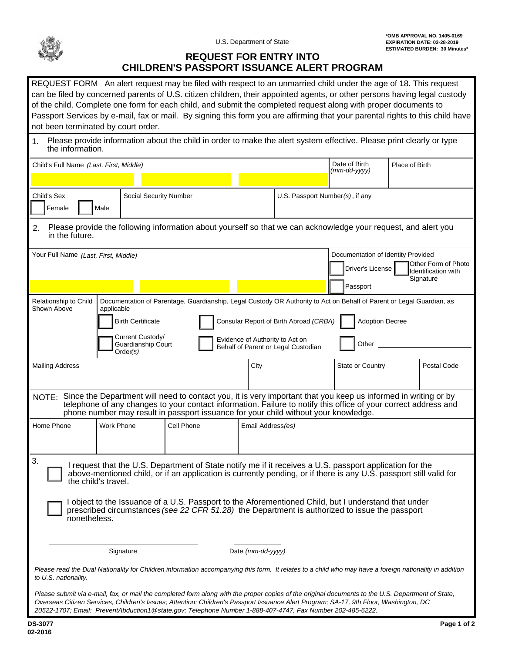

## **REQUEST FOR ENTRY INTO CHILDREN'S PASSPORT ISSUANCE ALERT PROGRAM**

| REQUEST FORM An alert request may be filed with respect to an unmarried child under the age of 18. This request<br>can be filed by concerned parents of U.S. citizen children, their appointed agents, or other persons having legal custody<br>of the child. Complete one form for each child, and submit the completed request along with proper documents to<br>Passport Services by e-mail, fax or mail. By signing this form you are affirming that your parental rights to this child have<br>not been terminated by court order. |                   |                                 |                   |  |                                                                                  |  |             |  |
|-----------------------------------------------------------------------------------------------------------------------------------------------------------------------------------------------------------------------------------------------------------------------------------------------------------------------------------------------------------------------------------------------------------------------------------------------------------------------------------------------------------------------------------------|-------------------|---------------------------------|-------------------|--|----------------------------------------------------------------------------------|--|-------------|--|
| Please provide information about the child in order to make the alert system effective. Please print clearly or type<br>the information.                                                                                                                                                                                                                                                                                                                                                                                                |                   |                                 |                   |  |                                                                                  |  |             |  |
| Child's Full Name (Last, First, Middle)                                                                                                                                                                                                                                                                                                                                                                                                                                                                                                 |                   |                                 |                   |  | Date of Birth<br>Place of Birth<br>(mm-dd-yyyy)                                  |  |             |  |
|                                                                                                                                                                                                                                                                                                                                                                                                                                                                                                                                         |                   |                                 |                   |  |                                                                                  |  |             |  |
| Child's Sex<br>Female<br>Male                                                                                                                                                                                                                                                                                                                                                                                                                                                                                                           |                   | U.S. Passport Number(s), if any |                   |  |                                                                                  |  |             |  |
| Please provide the following information about yourself so that we can acknowledge your request, and alert you<br>2.<br>in the future.                                                                                                                                                                                                                                                                                                                                                                                                  |                   |                                 |                   |  |                                                                                  |  |             |  |
| Your Full Name (Last, First, Middle)                                                                                                                                                                                                                                                                                                                                                                                                                                                                                                    |                   | Driver's License                |                   |  | Documentation of Identity Provided<br>Other Form of Photo<br>Identification with |  |             |  |
|                                                                                                                                                                                                                                                                                                                                                                                                                                                                                                                                         |                   |                                 |                   |  | Passport                                                                         |  | Signature   |  |
| Documentation of Parentage, Guardianship, Legal Custody OR Authority to Act on Behalf of Parent or Legal Guardian, as<br>Relationship to Child<br>Shown Above<br>applicable<br><b>Adoption Decree</b><br><b>Birth Certificate</b><br>Consular Report of Birth Abroad (CRBA)<br>Current Custody/<br>Evidence of Authority to Act on<br>Other<br>Guardianship Court<br>Behalf of Parent or Legal Custodian<br>Order(s)                                                                                                                    |                   |                                 |                   |  |                                                                                  |  |             |  |
| <b>Mailing Address</b>                                                                                                                                                                                                                                                                                                                                                                                                                                                                                                                  |                   |                                 | City              |  | State or Country                                                                 |  | Postal Code |  |
| NOTE: Since the Department will need to contact you, it is very important that you keep us informed in writing or by<br>telephone of any changes to your contact information. Failure to notify this office of your correct address and<br>phone number may result in passport issuance for your child without your knowledge.                                                                                                                                                                                                          |                   |                                 |                   |  |                                                                                  |  |             |  |
| Home Phone                                                                                                                                                                                                                                                                                                                                                                                                                                                                                                                              | <b>Work Phone</b> | Cell Phone                      | Email Address(es) |  |                                                                                  |  |             |  |
| 3.<br>I request that the U.S. Department of State notify me if it receives a U.S. passport application for the<br>above-mentioned child, or if an application is currently pending, or if there is any U.S. passport still valid for<br>the child's travel.                                                                                                                                                                                                                                                                             |                   |                                 |                   |  |                                                                                  |  |             |  |
| I object to the Issuance of a U.S. Passport to the Aforementioned Child, but I understand that under<br>prescribed circumstances (see 22 CFR 51.28) the Department is authorized to issue the passport<br>nonetheless.                                                                                                                                                                                                                                                                                                                  |                   |                                 |                   |  |                                                                                  |  |             |  |
| Date (mm-dd-yyyy)<br>Signature                                                                                                                                                                                                                                                                                                                                                                                                                                                                                                          |                   |                                 |                   |  |                                                                                  |  |             |  |
| Please read the Dual Nationality for Children information accompanying this form. It relates to a child who may have a foreign nationality in addition<br>to U.S. nationality.                                                                                                                                                                                                                                                                                                                                                          |                   |                                 |                   |  |                                                                                  |  |             |  |
| Please submit via e-mail, fax, or mail the completed form along with the proper copies of the original documents to the U.S. Department of State,<br>Overseas Citizen Services, Children's Issues; Attention: Children's Passport Issuance Alert Program; SA-17, 9th Floor, Washington, DC                                                                                                                                                                                                                                              |                   |                                 |                   |  |                                                                                  |  |             |  |

*20522-1707; Email: PreventAbduction1@state.gov; Telephone Number 1-888-407-4747, Fax Number 202-485-6222.*